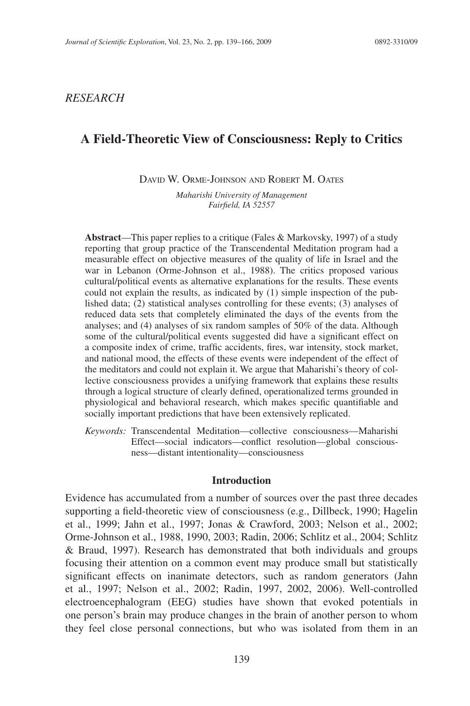## *RESEARCH*

# **A Field-Theoretic View of Consciousness: Reply to Critics**

DAVID W. ORME-JOHNSON AND ROBERT M. OATES

*Maharishi University of Management Fairfi eld, IA 52557*

**Abstract**—This paper replies to a critique (Fales & Markovsky, 1997) of a study reporting that group practice of the Transcendental Meditation program had a measurable effect on objective measures of the quality of life in Israel and the war in Lebanon (Orme-Johnson et al., 1988). The critics proposed various cultural/political events as alternative explanations for the results. These events could not explain the results, as indicated by (1) simple inspection of the published data; (2) statistical analyses controlling for these events; (3) analyses of reduced data sets that completely eliminated the days of the events from the analyses; and (4) analyses of six random samples of 50% of the data. Although some of the cultural/political events suggested did have a significant effect on a composite index of crime, traffic accidents, fires, war intensity, stock market, and national mood, the effects of these events were independent of the effect of the meditators and could not explain it. We argue that Maharishi's theory of collective consciousness provides a unifying framework that explains these results through a logical structure of clearly defined, operationalized terms grounded in physiological and behavioral research, which makes specific quantifiable and socially important predictions that have been extensively replicated.

*Keywords:* Transcendental Meditation—collective consciousness—Maharishi Effect—social indicators—conflict resolution—global consciousness—distant intentionality—consciousness

#### **Introduction**

Evidence has accumulated from a number of sources over the past three decades supporting a field-theoretic view of consciousness (e.g., Dillbeck, 1990; Hagelin et al., 1999; Jahn et al., 1997; Jonas & Crawford, 2003; Nelson et al., 2002; Orme-Johnson et al., 1988, 1990, 2003; Radin, 2006; Schlitz et al., 2004; Schlitz & Braud, 1997). Research has demonstrated that both individuals and groups focusing their attention on a common event may produce small but statistically significant effects on inanimate detectors, such as random generators (Jahn et al., 1997; Nelson et al., 2002; Radin, 1997, 2002, 2006). Well-controlled electroencephalogram (EEG) studies have shown that evoked potentials in one person's brain may produce changes in the brain of another person to whom they feel close personal connections, but who was isolated from them in an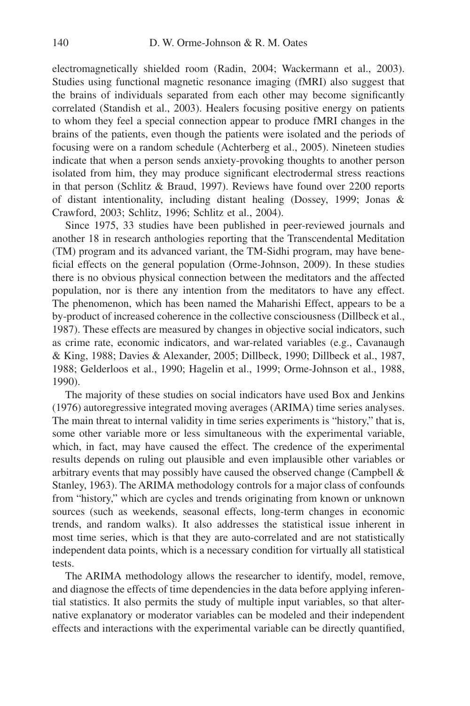electromagnetically shielded room (Radin, 2004; Wackermann et al., 2003). Studies using functional magnetic resonance imaging (fMRI) also suggest that the brains of individuals separated from each other may become significantly correlated (Standish et al., 2003). Healers focusing positive energy on patients to whom they feel a special connection appear to produce fMRI changes in the brains of the patients, even though the patients were isolated and the periods of focusing were on a random schedule (Achterberg et al., 2005). Nineteen studies indicate that when a person sends anxiety-provoking thoughts to another person isolated from him, they may produce significant electrodermal stress reactions in that person (Schlitz & Braud, 1997). Reviews have found over 2200 reports of distant intentionality, including distant healing (Dossey, 1999; Jonas & Crawford, 2003; Schlitz, 1996; Schlitz et al., 2004).

Since 1975, 33 studies have been published in peer-reviewed journals and another 18 in research anthologies reporting that the Transcendental Meditation (TM) program and its advanced variant, the TM-Sidhi program, may have beneficial effects on the general population (Orme-Johnson, 2009). In these studies there is no obvious physical connection between the meditators and the affected population, nor is there any intention from the meditators to have any effect. The phenomenon, which has been named the Maharishi Effect, appears to be a by-product of increased coherence in the collective consciousness (Dillbeck et al., 1987). These effects are measured by changes in objective social indicators, such as crime rate, economic indicators, and war-related variables (e.g., Cavanaugh & King, 1988; Davies & Alexander, 2005; Dillbeck, 1990; Dillbeck et al., 1987, 1988; Gelderloos et al., 1990; Hagelin et al., 1999; Orme-Johnson et al., 1988, 1990).

The majority of these studies on social indicators have used Box and Jenkins (1976) autoregressive integrated moving averages (ARIMA) time series analyses. The main threat to internal validity in time series experiments is "history," that is, some other variable more or less simultaneous with the experimental variable, which, in fact, may have caused the effect. The credence of the experimental results depends on ruling out plausible and even implausible other variables or arbitrary events that may possibly have caused the observed change (Campbell  $\&$ Stanley, 1963). The ARIMA methodology controls for a major class of confounds from "history," which are cycles and trends originating from known or unknown sources (such as weekends, seasonal effects, long-term changes in economic trends, and random walks). It also addresses the statistical issue inherent in most time series, which is that they are auto-correlated and are not statistically independent data points, which is a necessary condition for virtually all statistical tests.

The ARIMA methodology allows the researcher to identify, model, remove, and diagnose the effects of time dependencies in the data before applying inferential statistics. It also permits the study of multiple input variables, so that alternative explanatory or moderator variables can be modeled and their independent effects and interactions with the experimental variable can be directly quantified,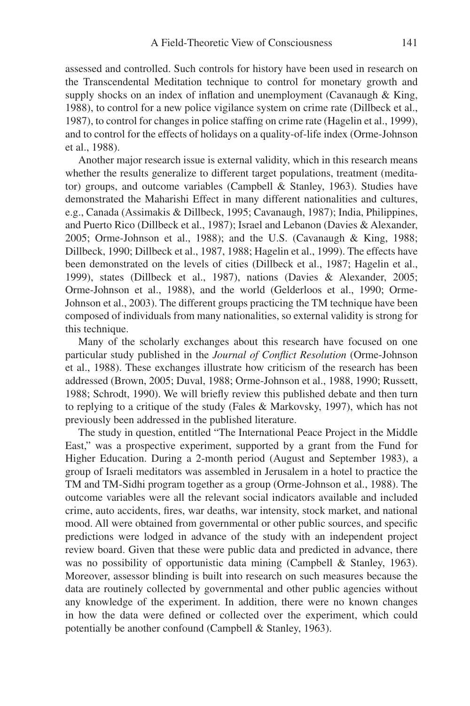assessed and controlled. Such controls for history have been used in research on the Transcendental Meditation technique to control for monetary growth and supply shocks on an index of inflation and unemployment (Cavanaugh  $\&$  King, 1988), to control for a new police vigilance system on crime rate (Dillbeck et al., 1987), to control for changes in police staffing on crime rate (Hagelin et al., 1999), and to control for the effects of holidays on a quality-of-life index (Orme-Johnson et al., 1988).

Another major research issue is external validity, which in this research means whether the results generalize to different target populations, treatment (meditator) groups, and outcome variables (Campbell & Stanley, 1963). Studies have demonstrated the Maharishi Effect in many different nationalities and cultures, e.g., Canada (Assimakis & Dillbeck, 1995; Cavanaugh, 1987); India, Philippines, and Puerto Rico (Dillbeck et al., 1987); Israel and Lebanon (Davies & Alexander, 2005; Orme-Johnson et al., 1988); and the U.S. (Cavanaugh & King, 1988; Dillbeck, 1990; Dillbeck et al., 1987, 1988; Hagelin et al., 1999). The effects have been demonstrated on the levels of cities (Dillbeck et al., 1987; Hagelin et al., 1999), states (Dillbeck et al., 1987), nations (Davies & Alexander, 2005; Orme-Johnson et al., 1988), and the world (Gelderloos et al., 1990; Orme-Johnson et al., 2003). The different groups practicing the TM technique have been composed of individuals from many nationalities, so external validity is strong for this technique.

Many of the scholarly exchanges about this research have focused on one particular study published in the *Journal of Conflict Resolution* (Orme-Johnson et al., 1988). These exchanges illustrate how criticism of the research has been addressed (Brown, 2005; Duval, 1988; Orme-Johnson et al., 1988, 1990; Russett, 1988; Schrodt, 1990). We will briefly review this published debate and then turn to replying to a critique of the study (Fales & Markovsky, 1997), which has not previously been addressed in the published literature.

The study in question, entitled "The International Peace Project in the Middle East," was a prospective experiment, supported by a grant from the Fund for Higher Education. During a 2-month period (August and September 1983), a group of Israeli meditators was assembled in Jerusalem in a hotel to practice the TM and TM-Sidhi program together as a group (Orme-Johnson et al., 1988). The outcome variables were all the relevant social indicators available and included crime, auto accidents, fires, war deaths, war intensity, stock market, and national mood. All were obtained from governmental or other public sources, and specific predictions were lodged in advance of the study with an independent project review board. Given that these were public data and predicted in advance, there was no possibility of opportunistic data mining (Campbell & Stanley, 1963). Moreover, assessor blinding is built into research on such measures because the data are routinely collected by governmental and other public agencies without any knowledge of the experiment. In addition, there were no known changes in how the data were defined or collected over the experiment, which could potentially be another confound (Campbell & Stanley, 1963).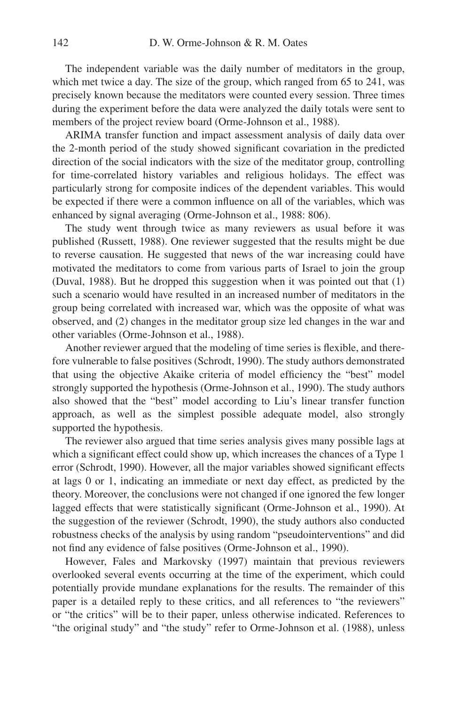The independent variable was the daily number of meditators in the group, which met twice a day. The size of the group, which ranged from 65 to 241, was precisely known because the meditators were counted every session. Three times during the experiment before the data were analyzed the daily totals were sent to members of the project review board (Orme-Johnson et al., 1988).

ARIMA transfer function and impact assessment analysis of daily data over the 2-month period of the study showed significant covariation in the predicted direction of the social indicators with the size of the meditator group, controlling for time-correlated history variables and religious holidays. The effect was particularly strong for composite indices of the dependent variables. This would be expected if there were a common influence on all of the variables, which was enhanced by signal averaging (Orme-Johnson et al., 1988: 806).

The study went through twice as many reviewers as usual before it was published (Russett, 1988). One reviewer suggested that the results might be due to reverse causation. He suggested that news of the war increasing could have motivated the meditators to come from various parts of Israel to join the group (Duval, 1988). But he dropped this suggestion when it was pointed out that (1) such a scenario would have resulted in an increased number of meditators in the group being correlated with increased war, which was the opposite of what was observed, and (2) changes in the meditator group size led changes in the war and other variables (Orme-Johnson et al., 1988).

Another reviewer argued that the modeling of time series is flexible, and therefore vulnerable to false positives (Schrodt, 1990). The study authors demonstrated that using the objective Akaike criteria of model efficiency the "best" model strongly supported the hypothesis (Orme-Johnson et al., 1990). The study authors also showed that the "best" model according to Liu's linear transfer function approach, as well as the simplest possible adequate model, also strongly supported the hypothesis.

The reviewer also argued that time series analysis gives many possible lags at which a significant effect could show up, which increases the chances of a Type 1 error (Schrodt, 1990). However, all the major variables showed significant effects at lags 0 or 1, indicating an immediate or next day effect, as predicted by the theory. Moreover, the conclusions were not changed if one ignored the few longer lagged effects that were statistically significant (Orme-Johnson et al., 1990). At the suggestion of the reviewer (Schrodt, 1990), the study authors also conducted robustness checks of the analysis by using random "pseudointerventions" and did not find any evidence of false positives (Orme-Johnson et al., 1990).

However, Fales and Markovsky (1997) maintain that previous reviewers overlooked several events occurring at the time of the experiment, which could potentially provide mundane explanations for the results. The remainder of this paper is a detailed reply to these critics, and all references to "the reviewers" or "the critics" will be to their paper, unless otherwise indicated. References to "the original study" and "the study" refer to Orme-Johnson et al. (1988), unless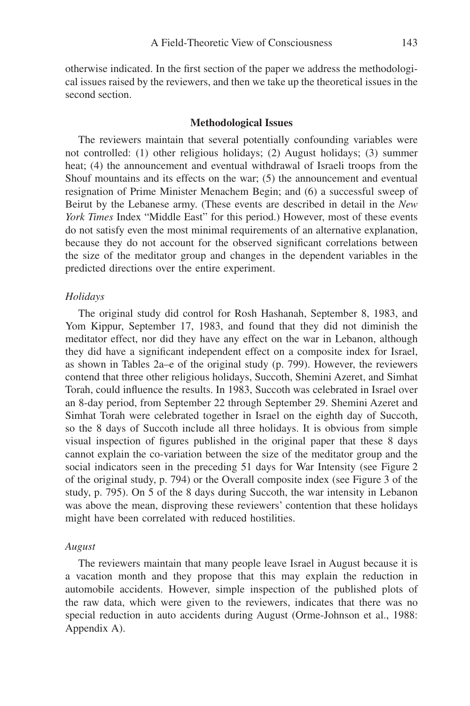otherwise indicated. In the first section of the paper we address the methodological issues raised by the reviewers, and then we take up the theoretical issues in the second section.

#### **Methodological Issues**

The reviewers maintain that several potentially confounding variables were not controlled: (1) other religious holidays; (2) August holidays; (3) summer heat; (4) the announcement and eventual withdrawal of Israeli troops from the Shouf mountains and its effects on the war; (5) the announcement and eventual resignation of Prime Minister Menachem Begin; and (6) a successful sweep of Beirut by the Lebanese army. (These events are described in detail in the *New York Times* Index "Middle East" for this period.) However, most of these events do not satisfy even the most minimal requirements of an alternative explanation, because they do not account for the observed significant correlations between the size of the meditator group and changes in the dependent variables in the predicted directions over the entire experiment.

#### *Holidays*

The original study did control for Rosh Hashanah, September 8, 1983, and Yom Kippur, September 17, 1983, and found that they did not diminish the meditator effect, nor did they have any effect on the war in Lebanon, although they did have a significant independent effect on a composite index for Israel, as shown in Tables 2a–e of the original study (p. 799). However, the reviewers contend that three other religious holidays, Succoth, Shemini Azeret, and Simhat Torah, could influence the results. In 1983, Succoth was celebrated in Israel over an 8-day period, from September 22 through September 29. Shemini Azeret and Simhat Torah were celebrated together in Israel on the eighth day of Succoth, so the 8 days of Succoth include all three holidays. It is obvious from simple visual inspection of figures published in the original paper that these 8 days cannot explain the co-variation between the size of the meditator group and the social indicators seen in the preceding 51 days for War Intensity (see Figure 2 of the original study, p. 794) or the Overall composite index (see Figure 3 of the study, p. 795). On 5 of the 8 days during Succoth, the war intensity in Lebanon was above the mean, disproving these reviewers' contention that these holidays might have been correlated with reduced hostilities.

#### *August*

The reviewers maintain that many people leave Israel in August because it is a vacation month and they propose that this may explain the reduction in automobile accidents. However, simple inspection of the published plots of the raw data, which were given to the reviewers, indicates that there was no special reduction in auto accidents during August (Orme-Johnson et al., 1988: Appendix A).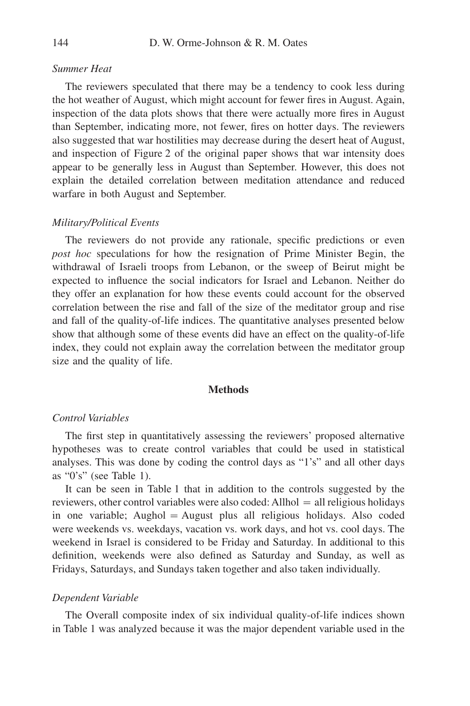## *Summer Heat*

The reviewers speculated that there may be a tendency to cook less during the hot weather of August, which might account for fewer fires in August. Again, inspection of the data plots shows that there were actually more fires in August than September, indicating more, not fewer, fires on hotter days. The reviewers also suggested that war hostilities may decrease during the desert heat of August, and inspection of Figure 2 of the original paper shows that war intensity does appear to be generally less in August than September. However, this does not explain the detailed correlation between meditation attendance and reduced warfare in both August and September.

#### *Military/Political Events*

The reviewers do not provide any rationale, specific predictions or even *post hoc* speculations for how the resignation of Prime Minister Begin, the withdrawal of Israeli troops from Lebanon, or the sweep of Beirut might be expected to influence the social indicators for Israel and Lebanon. Neither do they offer an explanation for how these events could account for the observed correlation between the rise and fall of the size of the meditator group and rise and fall of the quality-of-life indices. The quantitative analyses presented below show that although some of these events did have an effect on the quality-of-life index, they could not explain away the correlation between the meditator group size and the quality of life.

## **Methods**

## *Control Variables*

The first step in quantitatively assessing the reviewers' proposed alternative hypotheses was to create control variables that could be used in statistical analyses. This was done by coding the control days as "1's" and all other days as "0's" (see Table 1).

It can be seen in Table 1 that in addition to the controls suggested by the reviewers, other control variables were also coded: Allhol = all religious holidays in one variable; Aughol  $=$  August plus all religious holidays. Also coded were weekends vs. weekdays, vacation vs. work days, and hot vs. cool days. The weekend in Israel is considered to be Friday and Saturday. In additional to this definition, weekends were also defined as Saturday and Sunday, as well as Fridays, Saturdays, and Sundays taken together and also taken individually.

#### *Dependent Variable*

The Overall composite index of six individual quality-of-life indices shown in Table 1 was analyzed because it was the major dependent variable used in the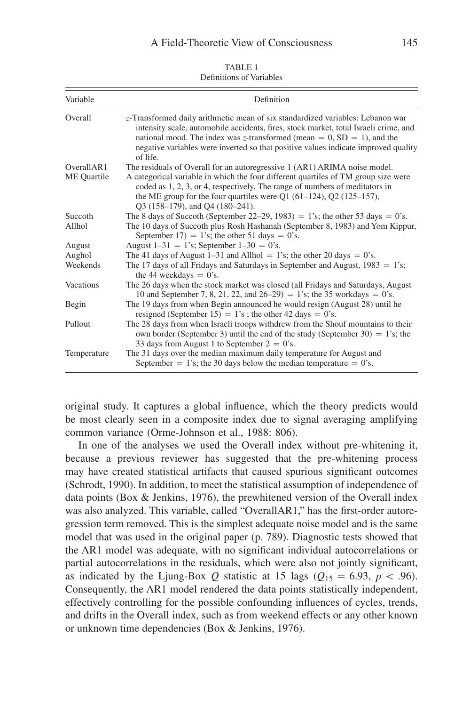| TABLE 1                  |  |  |  |  |
|--------------------------|--|--|--|--|
| Definitions of Variables |  |  |  |  |

| Variable    | Definition                                                                                                                                                                                                                                                                                                                                            |  |  |  |  |
|-------------|-------------------------------------------------------------------------------------------------------------------------------------------------------------------------------------------------------------------------------------------------------------------------------------------------------------------------------------------------------|--|--|--|--|
| Overall     | z-Transformed daily arithmetic mean of six standardized variables: Lebanon war<br>intensity scale, automobile accidents, fires, stock market, total Israeli crime, and<br>national mood. The index was z-transformed (mean = $0$ , SD = 1), and the<br>negative variables were inverted so that positive values indicate improved quality<br>of life. |  |  |  |  |
| OverallAR1  | The residuals of Overall for an autoregressive 1 (AR1) ARIMA noise model.                                                                                                                                                                                                                                                                             |  |  |  |  |
| ME Quartile | A categorical variable in which the four different quartiles of TM group size were<br>coded as 1, 2, 3, or 4, respectively. The range of numbers of meditators in<br>the ME group for the four quartiles were Q1 $(61-124)$ , Q2 $(125-157)$ ,<br>Q3 (158-179), and Q4 (180-241).                                                                     |  |  |  |  |
| Succoth     | The 8 days of Succoth (September 22–29, 1983) = 1's; the other 53 days = 0's.                                                                                                                                                                                                                                                                         |  |  |  |  |
| Allhol      | The 10 days of Succoth plus Rosh Hashanah (September 8, 1983) and Yom Kippur,<br>September 17) = 1's; the other 51 days = 0's.                                                                                                                                                                                                                        |  |  |  |  |
| August      | August $1-31 = 1$ 's; September $1-30 = 0$ 's.                                                                                                                                                                                                                                                                                                        |  |  |  |  |
| Aughol      | The 41 days of August 1–31 and Allhol = 1's; the other 20 days = 0's.                                                                                                                                                                                                                                                                                 |  |  |  |  |
| Weekends    | The 17 days of all Fridays and Saturdays in September and August, $1983 = 1$ 's;<br>the 44 weekdays $= 0$ 's.                                                                                                                                                                                                                                         |  |  |  |  |
| Vacations   | The 26 days when the stock market was closed (all Fridays and Saturdays, August<br>10 and September 7, 8, 21, 22, and $26-29$ = 1's; the 35 workdays = 0's.                                                                                                                                                                                           |  |  |  |  |
| Begin       | The 19 days from when Begin announced he would resign (August 28) until he<br>resigned (September 15) = 1's; the other 42 days = 0's.                                                                                                                                                                                                                 |  |  |  |  |
| Pullout     | The 28 days from when Israeli troops withdrew from the Shouf mountains to their<br>own border (September 3) until the end of the study (September 30) = 1's; the<br>33 days from August 1 to September $2 = 0$ 's.                                                                                                                                    |  |  |  |  |
| Temperature | The 31 days over the median maximum daily temperature for August and<br>September = 1's; the 30 days below the median temperature = 0's.                                                                                                                                                                                                              |  |  |  |  |

original study. It captures a global influence, which the theory predicts would be most clearly seen in a composite index due to signal averaging amplifying common variance (Orme-Johnson et al., 1988: 806).

In one of the analyses we used the Overall index without pre-whitening it, because a previous reviewer has suggested that the pre-whitening process may have created statistical artifacts that caused spurious significant outcomes (Schrodt, 1990). In addition, to meet the statistical assumption of independence of data points (Box & Jenkins, 1976), the prewhitened version of the Overall index was also analyzed. This variable, called "OverallAR1," has the first-order autoregression term removed. This is the simplest adequate noise model and is the same model that was used in the original paper (p. 789). Diagnostic tests showed that the AR1 model was adequate, with no significant individual autocorrelations or partial autocorrelations in the residuals, which were also not jointly significant, as indicated by the Ljung-Box *Q* statistic at 15 lags ( $Q_{15} = 6.93$ ,  $p < .96$ ). Consequently, the AR1 model rendered the data points statistically independent, effectively controlling for the possible confounding influences of cycles, trends, and drifts in the Overall index, such as from weekend effects or any other known or unknown time dependencies (Box & Jenkins, 1976).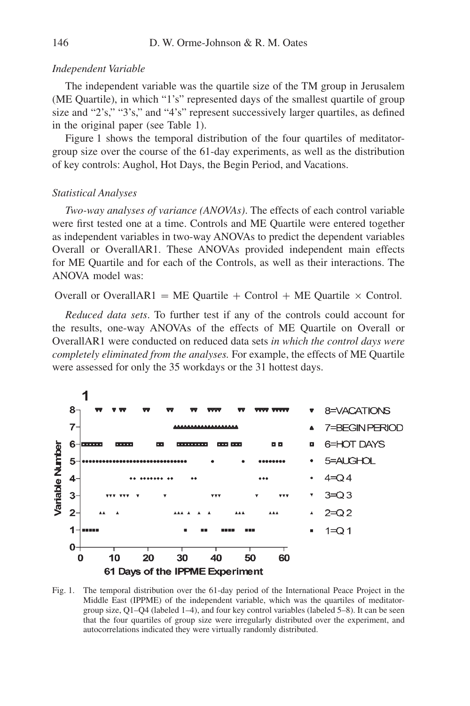#### *Independent Variable*

The independent variable was the quartile size of the TM group in Jerusalem (ME Quartile), in which "1's" represented days of the smallest quartile of group size and "2's," "3's," and "4's" represent successively larger quartiles, as defined in the original paper (see Table 1).

Figure 1 shows the temporal distribution of the four quartiles of meditatorgroup size over the course of the 61-day experiments, as well as the distribution of key controls: Aughol, Hot Days, the Begin Period, and Vacations.

#### *Statistical Analyses*

*Two-way analyses of variance (ANOVAs)*. The effects of each control variable were first tested one at a time. Controls and ME Quartile were entered together as independent variables in two-way ANOVAs to predict the dependent variables Overall or OverallAR1. These ANOVAs provided independent main effects for ME Quartile and for each of the Controls, as well as their interactions. The ANOVA model was:

Overall or OverallAR1 = ME Quartile + Control + ME Quartile  $\times$  Control.

*Reduced data sets*. To further test if any of the controls could account for the results, one-way ANOVAs of the effects of ME Quartile on Overall or OverallAR1 were conducted on reduced data sets *in which the control days were completely eliminated from the analyses.* For example, the effects of ME Quartile were assessed for only the 35 workdays or the 31 hottest days.



Fig. 1. The temporal distribution over the 61-day period of the International Peace Project in the Middle East (IPPME) of the independent variable, which was the quartiles of meditatorgroup size, Q1–Q4 (labeled 1–4), and four key control variables (labeled 5–8). It can be seen that the four quartiles of group size were irregularly distributed over the experiment, and autocorrelations indicated they were virtually randomly distributed.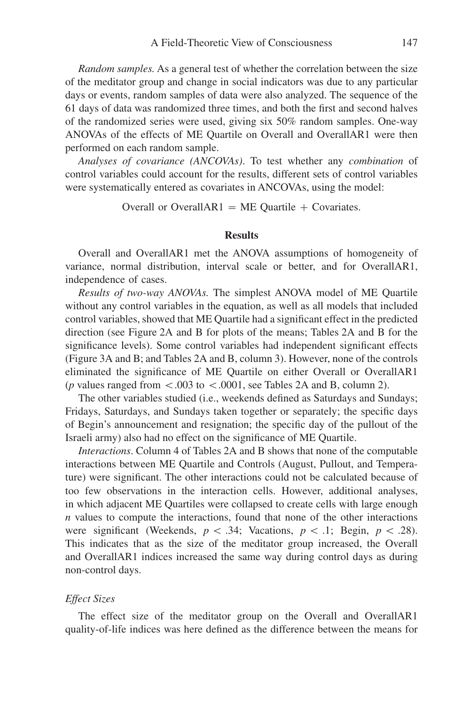*Random samples.* As a general test of whether the correlation between the size of the meditator group and change in social indicators was due to any particular days or events, random samples of data were also analyzed. The sequence of the 61 days of data was randomized three times, and both the first and second halves of the randomized series were used, giving six 50% random samples. One-way ANOVAs of the effects of ME Quartile on Overall and OverallAR1 were then performed on each random sample.

*Analyses of covariance (ANCOVAs)*. To test whether any *combination* of control variables could account for the results, different sets of control variables were systematically entered as covariates in ANCOVAs, using the model:

Overall or OverallAR1=ME Quartile + Covariates.

## **Results**

Overall and OverallAR1 met the ANOVA assumptions of homogeneity of variance, normal distribution, interval scale or better, and for OverallAR1, independence of cases.

*Results of two-way ANOVAs.* The simplest ANOVA model of ME Quartile without any control variables in the equation, as well as all models that included control variables, showed that ME Quartile had a significant effect in the predicted direction (see Figure 2A and B for plots of the means; Tables 2A and B for the significance levels). Some control variables had independent significant effects (Figure 3A and B; and Tables 2A and B, column 3). However, none of the controls eliminated the significance of ME Quartile on either Overall or OverallAR1 (*p* values ranged from  $\lt$ .003 to  $\lt$ .0001, see Tables 2A and B, column 2).

The other variables studied (i.e., weekends defined as Saturdays and Sundays; Fridays, Saturdays, and Sundays taken together or separately; the specific days of Begin's announcement and resignation; the specifi c day of the pullout of the Israeli army) also had no effect on the significance of ME Quartile.

*Interactions*. Column 4 of Tables 2A and B shows that none of the computable interactions between ME Quartile and Controls (August, Pullout, and Temperature) were significant. The other interactions could not be calculated because of too few observations in the interaction cells. However, additional analyses, in which adjacent ME Quartiles were collapsed to create cells with large enough *n* values to compute the interactions, found that none of the other interactions were significant (Weekends,  $p < .34$ ; Vacations,  $p < .1$ ; Begin,  $p < .28$ ). This indicates that as the size of the meditator group increased, the Overall and OverallAR1 indices increased the same way during control days as during non-control days.

## *Effect Sizes*

The effect size of the meditator group on the Overall and OverallAR1 quality-of-life indices was here defined as the difference between the means for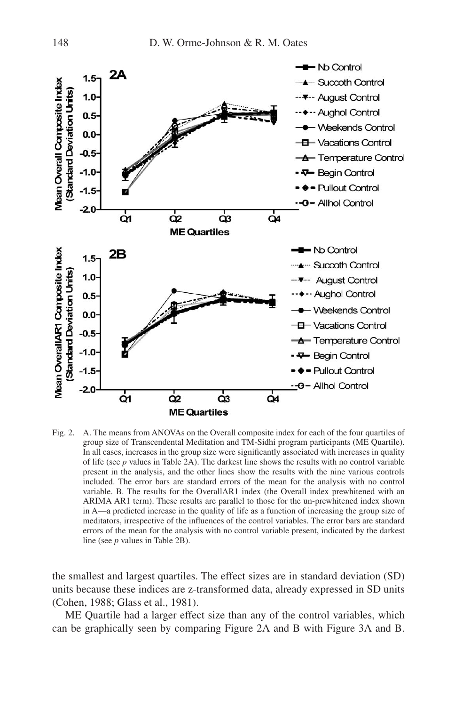

Fig. 2. A. The means from ANOVAs on the Overall composite index for each of the four quartiles of group size of Transcendental Meditation and TM-Sidhi program participants (ME Quartile). In all cases, increases in the group size were significantly associated with increases in quality of life (see *p* values in Table 2A). The darkest line shows the results with no control variable present in the analysis, and the other lines show the results with the nine various controls included. The error bars are standard errors of the mean for the analysis with no control variable. B. The results for the OverallAR1 index (the Overall index prewhitened with an ARIMA AR1 term). These results are parallel to those for the un-prewhitened index shown in A—a predicted increase in the quality of life as a function of increasing the group size of meditators, irrespective of the influences of the control variables. The error bars are standard errors of the mean for the analysis with no control variable present, indicated by the darkest line (see *p* values in Table 2B).

the smallest and largest quartiles. The effect sizes are in standard deviation (SD) units because these indices are z-transformed data, already expressed in SD units (Cohen, 1988; Glass et al., 1981).

ME Quartile had a larger effect size than any of the control variables, which can be graphically seen by comparing Figure 2A and B with Figure 3A and B.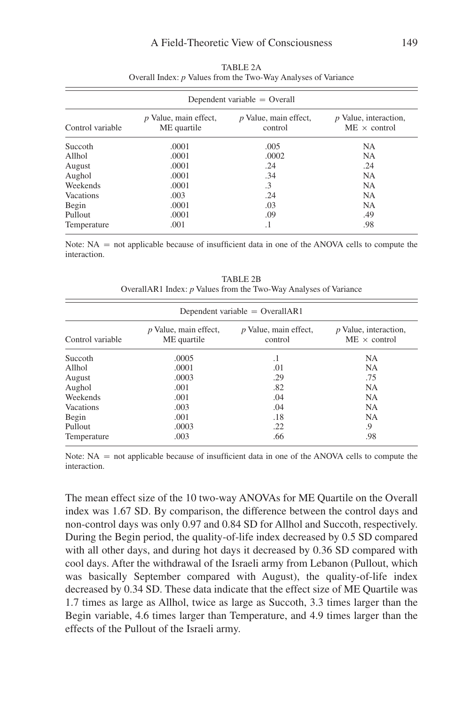| Dependent variable $=$ Overall |                                      |                                  |                                                |  |  |  |
|--------------------------------|--------------------------------------|----------------------------------|------------------------------------------------|--|--|--|
| Control variable               | p Value, main effect,<br>ME quartile | p Value, main effect,<br>control | $p$ Value, interaction,<br>$ME \times control$ |  |  |  |
| Succoth                        | .0001                                | .005                             | NA                                             |  |  |  |
| Allhol                         | .0001                                | .0002                            | NA                                             |  |  |  |
| August                         | .0001                                | .24                              | .24                                            |  |  |  |
| Aughol                         | .0001                                | .34                              | <b>NA</b>                                      |  |  |  |
| Weekends                       | .0001                                | $\cdot$ 3                        | <b>NA</b>                                      |  |  |  |
| Vacations                      | .003                                 | .24                              | <b>NA</b>                                      |  |  |  |
| Begin                          | .0001                                | .03                              | NA                                             |  |  |  |
| Pullout                        | .0001                                | .09                              | .49                                            |  |  |  |
| Temperature                    | .001                                 | $\cdot$ 1                        | .98                                            |  |  |  |

TABLE 2A Overall Index: *p* Values from the Two-Way Analyses of Variance

Note:  $NA$  = not applicable because of insufficient data in one of the ANOVA cells to compute the interaction.

| Dependent variable = $OverallARI$                                                                                                                  |       |     |           |  |  |  |  |
|----------------------------------------------------------------------------------------------------------------------------------------------------|-------|-----|-----------|--|--|--|--|
| $p$ Value, main effect,<br>$p$ Value, main effect,<br>$p$ Value, interaction,<br>Control variable<br>ME quartile<br>$ME \times control$<br>control |       |     |           |  |  |  |  |
| Succoth                                                                                                                                            | .0005 | .1  | NA        |  |  |  |  |
| Allhol                                                                                                                                             | .0001 | .01 | NA.       |  |  |  |  |
| August                                                                                                                                             | .0003 | .29 | .75       |  |  |  |  |
| Aughol                                                                                                                                             | .001  | .82 | <b>NA</b> |  |  |  |  |
| Weekends                                                                                                                                           | .001  | .04 | NA        |  |  |  |  |
| <b>Vacations</b>                                                                                                                                   | .003  | .04 | <b>NA</b> |  |  |  |  |
| Begin                                                                                                                                              | .001  | .18 | NA        |  |  |  |  |
| Pullout                                                                                                                                            | .0003 | .22 | .9        |  |  |  |  |
| Temperature                                                                                                                                        | .003  | .66 | .98       |  |  |  |  |

TABLE 2B OverallAR1 Index: *p* Values from the Two-Way Analyses of Variance

Note:  $NA$  = not applicable because of insufficient data in one of the ANOVA cells to compute the interaction.

The mean effect size of the 10 two-way ANOVAs for ME Quartile on the Overall index was 1.67 SD. By comparison, the difference between the control days and non-control days was only 0.97 and 0.84 SD for Allhol and Succoth, respectively. During the Begin period, the quality-of-life index decreased by 0.5 SD compared with all other days, and during hot days it decreased by 0.36 SD compared with cool days. After the withdrawal of the Israeli army from Lebanon (Pullout, which was basically September compared with August), the quality-of-life index decreased by 0.34 SD. These data indicate that the effect size of ME Quartile was 1.7 times as large as Allhol, twice as large as Succoth, 3.3 times larger than the Begin variable, 4.6 times larger than Temperature, and 4.9 times larger than the effects of the Pullout of the Israeli army.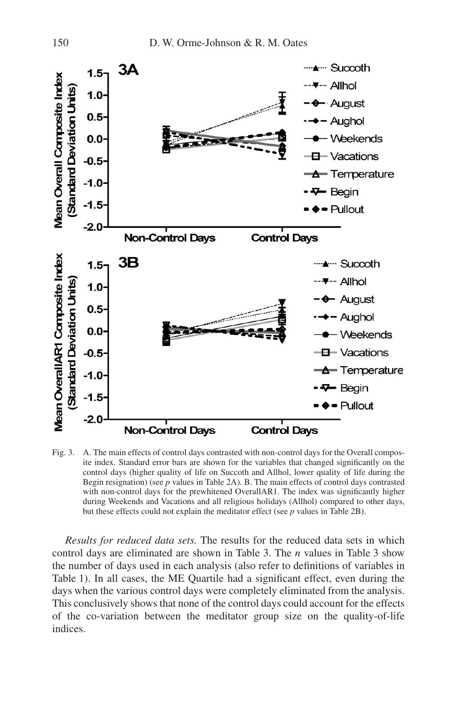

Fig. 3. A. The main effects of control days contrasted with non-control days for the Overall composite index. Standard error bars are shown for the variables that changed significantly on the control days (higher quality of life on Succoth and Allhol, lower quality of life during the Begin resignation) (see *p* values in Table 2A). B. The main effects of control days contrasted with non-control days for the prewhitened Overall $AR1$ . The index was significantly higher during Weekends and Vacations and all religious holidays (Allhol) compared to other days, but these effects could not explain the meditator effect (see *p* values in Table 2B).

*Results for reduced data sets.* The results for the reduced data sets in which control days are eliminated are shown in Table 3. The *n* values in Table 3 show the number of days used in each analysis (also refer to definitions of variables in Table 1). In all cases, the ME Quartile had a significant effect, even during the days when the various control days were completely eliminated from the analysis. This conclusively shows that none of the control days could account for the effects of the co-variation between the meditator group size on the quality-of-life indices.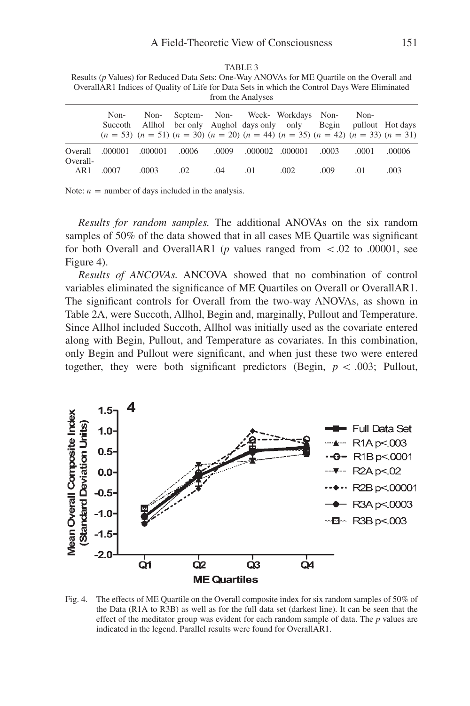| Results (p) values) for Requeed Data Sets. One-way AlvOvAs for ME Quartiful on the Overall and<br>OverallAR1 Indices of Quality of Life for Data Sets in which the Control Days Were Eliminated<br>from the Analyses |                 |         |       |       |     |                                                                                                                                                                                       |       |                          |        |
|----------------------------------------------------------------------------------------------------------------------------------------------------------------------------------------------------------------------|-----------------|---------|-------|-------|-----|---------------------------------------------------------------------------------------------------------------------------------------------------------------------------------------|-------|--------------------------|--------|
|                                                                                                                                                                                                                      | Non-<br>Succoth | Non-    |       |       |     | Septem- Non- Week- Workdays Non-<br>Allhol ber only Aughol days only only Begin<br>$(n = 53)$ $(n = 51)$ $(n = 30)$ $(n = 20)$ $(n = 44)$ $(n = 35)$ $(n = 42)$ $(n = 33)$ $(n = 31)$ |       | Non-<br>pullout Hot days |        |
| Overall<br>Overall-                                                                                                                                                                                                  | .000001         | .000001 | .0006 | .0009 |     | .000002 .000001                                                                                                                                                                       | .0003 | .0001                    | .00006 |
| AR1                                                                                                                                                                                                                  | .0007           | .0003   | .02   | .04   | .01 | .002                                                                                                                                                                                  | .009  | .01                      | .003   |

TABLE 3 Results (*p* Values) for Reduced Data Sets: One-Way ANOVAs for ME Quartile on the Overall and

Note:  $n =$  number of days included in the analysis.

*Results for random samples.* The additional ANOVAs on the six random samples of  $50\%$  of the data showed that in all cases ME Quartile was significant for both Overall and OverallAR1 ( $p$  values ranged from  $\lt$ .02 to .00001, see Figure 4).

*Results of ANCOVAs.* ANCOVA showed that no combination of control variables eliminated the significance of ME Quartiles on Overall or OverallAR1. The significant controls for Overall from the two-way ANOVAs, as shown in Table 2A, were Succoth, Allhol, Begin and, marginally, Pullout and Temperature. Since Allhol included Succoth, Allhol was initially used as the covariate entered along with Begin, Pullout, and Temperature as covariates. In this combination, only Begin and Pullout were significant, and when just these two were entered together, they were both significant predictors (Begin,  $p < .003$ ; Pullout,



Fig. 4. The effects of ME Quartile on the Overall composite index for six random samples of 50% of the Data (R1A to R3B) as well as for the full data set (darkest line). It can be seen that the effect of the meditator group was evident for each random sample of data. The *p* values are indicated in the legend. Parallel results were found for OverallAR1.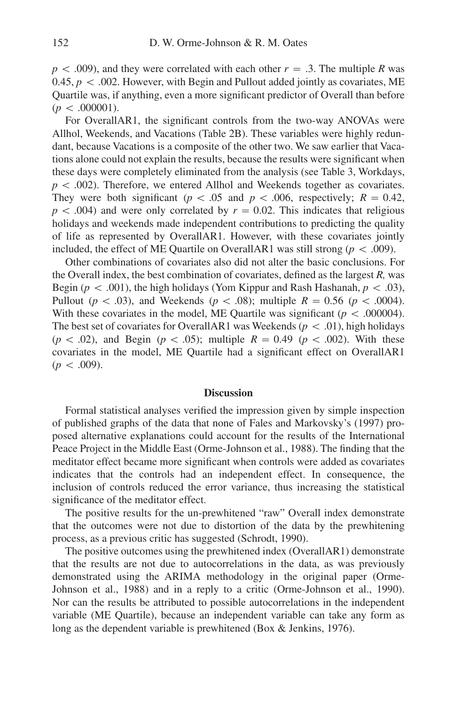$p < .009$ ), and they were correlated with each other  $r = .3$ . The multiple *R* was 0.45,  $p < 0.002$ . However, with Begin and Pullout added jointly as covariates, ME Quartile was, if anything, even a more significant predictor of Overall than before  $(p < .000001)$ .

For OverallAR1, the significant controls from the two-way ANOVAs were Allhol, Weekends, and Vacations (Table 2B). These variables were highly redundant, because Vacations is a composite of the other two. We saw earlier that Vacations alone could not explain the results, because the results were significant when these days were completely eliminated from the analysis (see Table 3, Workdays, *p* < .002). Therefore, we entered Allhol and Weekends together as covariates. They were both significant ( $p < .05$  and  $p < .006$ , respectively;  $R = 0.42$ ,  $p < .004$ ) and were only correlated by  $r = 0.02$ . This indicates that religious holidays and weekends made independent contributions to predicting the quality of life as represented by OverallAR1. However, with these covariates jointly included, the effect of ME Quartile on OverallAR1 was still strong ( $p < .009$ ).

Other combinations of covariates also did not alter the basic conclusions. For the Overall index, the best combination of covariates, defined as the largest *R*, was Begin ( $p < .001$ ), the high holidays (Yom Kippur and Rash Hashanah,  $p < .03$ ), Pullout ( $p < .03$ ), and Weekends ( $p < .08$ ); multiple  $R = 0.56$  ( $p < .0004$ ). With these covariates in the model, ME Quartile was significant  $(p < .000004)$ . The best set of covariates for OverallAR1 was Weekends ( $p < .01$ ), high holidays  $(p < .02)$ , and Begin  $(p < .05)$ ; multiple  $R = 0.49$   $(p < .002)$ . With these covariates in the model, ME Quartile had a significant effect on OverallAR1  $(p < .009)$ .

#### **Discussion**

Formal statistical analyses verified the impression given by simple inspection of published graphs of the data that none of Fales and Markovsky's (1997) proposed alternative explanations could account for the results of the International Peace Project in the Middle East (Orme-Johnson et al., 1988). The finding that the meditator effect became more significant when controls were added as covariates indicates that the controls had an independent effect. In consequence, the inclusion of controls reduced the error variance, thus increasing the statistical significance of the meditator effect.

The positive results for the un-prewhitened "raw" Overall index demonstrate that the outcomes were not due to distortion of the data by the prewhitening process, as a previous critic has suggested (Schrodt, 1990).

The positive outcomes using the prewhitened index (OverallAR1) demonstrate that the results are not due to autocorrelations in the data, as was previously demonstrated using the ARIMA methodology in the original paper (Orme-Johnson et al., 1988) and in a reply to a critic (Orme-Johnson et al., 1990). Nor can the results be attributed to possible autocorrelations in the independent variable (ME Quartile), because an independent variable can take any form as long as the dependent variable is prewhitened (Box & Jenkins, 1976).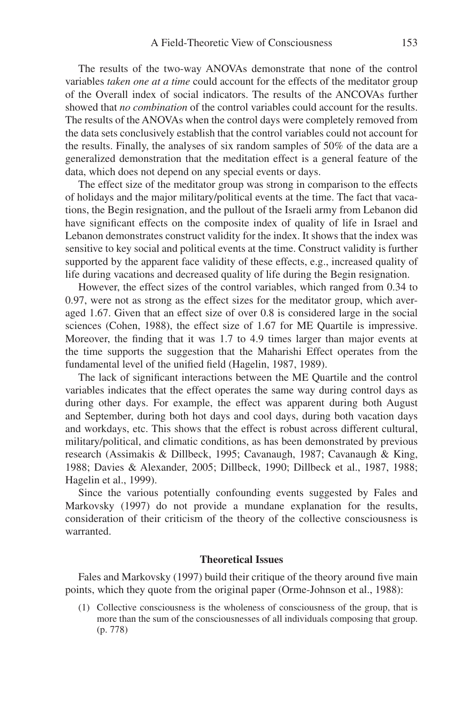The results of the two-way ANOVAs demonstrate that none of the control variables *taken one at a time* could account for the effects of the meditator group of the Overall index of social indicators. The results of the ANCOVAs further showed that *no combination* of the control variables could account for the results. The results of the ANOVAs when the control days were completely removed from the data sets conclusively establish that the control variables could not account for the results. Finally, the analyses of six random samples of 50% of the data are a generalized demonstration that the meditation effect is a general feature of the data, which does not depend on any special events or days.

The effect size of the meditator group was strong in comparison to the effects of holidays and the major military/political events at the time. The fact that vacations, the Begin resignation, and the pullout of the Israeli army from Lebanon did have significant effects on the composite index of quality of life in Israel and Lebanon demonstrates construct validity for the index. It shows that the index was sensitive to key social and political events at the time. Construct validity is further supported by the apparent face validity of these effects, e.g., increased quality of life during vacations and decreased quality of life during the Begin resignation.

However, the effect sizes of the control variables, which ranged from 0.34 to 0.97, were not as strong as the effect sizes for the meditator group, which averaged 1.67. Given that an effect size of over 0.8 is considered large in the social sciences (Cohen, 1988), the effect size of 1.67 for ME Quartile is impressive. Moreover, the finding that it was 1.7 to 4.9 times larger than major events at the time supports the suggestion that the Maharishi Effect operates from the fundamental level of the unified field (Hagelin, 1987, 1989).

The lack of significant interactions between the ME Quartile and the control variables indicates that the effect operates the same way during control days as during other days. For example, the effect was apparent during both August and September, during both hot days and cool days, during both vacation days and workdays, etc. This shows that the effect is robust across different cultural, military/political, and climatic conditions, as has been demonstrated by previous research (Assimakis & Dillbeck, 1995; Cavanaugh, 1987; Cavanaugh & King, 1988; Davies & Alexander, 2005; Dillbeck, 1990; Dillbeck et al., 1987, 1988; Hagelin et al., 1999).

Since the various potentially confounding events suggested by Fales and Markovsky (1997) do not provide a mundane explanation for the results, con sideration of their criticism of the theory of the collective consciousness is warranted.

## **Theoretical Issues**

Fales and Markovsky (1997) build their critique of the theory around five main points, which they quote from the original paper (Orme-Johnson et al., 1988):

(1) Collective consciousness is the wholeness of consciousness of the group, that is more than the sum of the consciousnesses of all individuals composing that group. (p. 778)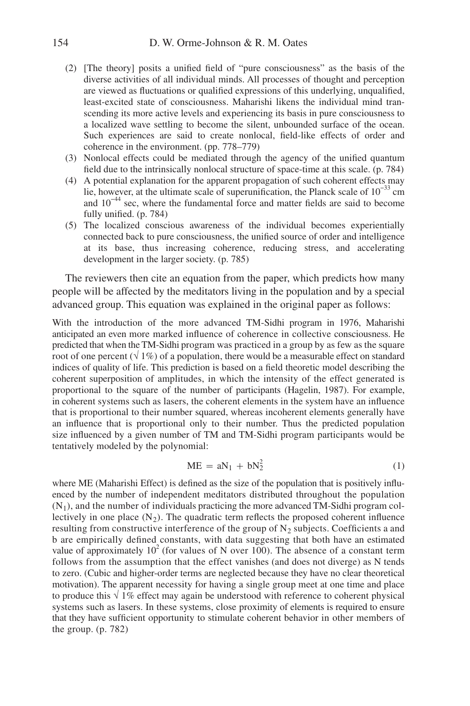- (2) [The theory] posits a unified field of "pure consciousness" as the basis of the diverse activities of all individual minds. All processes of thought and perception are viewed as fluctuations or qualified expressions of this underlying, unqualified, least-excited state of consciousness. Maharishi likens the individual mind transcending its more active levels and experiencing its basis in pure consciousness to a localized wave settling to become the silent, unbounded surface of the ocean. Such experiences are said to create nonlocal, field-like effects of order and coherence in the environment. (pp. 778–779)
- (3) Nonlocal effects could be mediated through the agency of the unified quantum field due to the intrinsically nonlocal structure of space-time at this scale. (p. 784)
- (4) A potential explanation for the apparent propagation of such coherent effects may lie, however, at the ultimate scale of superunification, the Planck scale of  $10^{-33}$  cm and  $10^{-44}$  sec, where the fundamental force and matter fields are said to become fully unified. (p. 784)
- (5) The localized conscious awareness of the individual becomes experientially connected back to pure consciousness, the unified source of order and intelligence at its base, thus increasing coherence, reducing stress, and accelerating development in the larger society. (p. 785)

The reviewers then cite an equation from the paper, which predicts how many people will be affected by the meditators living in the population and by a special advanced group. This equation was explained in the original paper as follows:

With the introduction of the more advanced TM-Sidhi program in 1976, Maharishi anticipated an even more marked influence of coherence in collective consciousness. He predicted that when the TM-Sidhi program was practiced in a group by as few as the square root of one percent ( $\sqrt{1\%}$ ) of a population, there would be a measurable effect on standard indices of quality of life. This prediction is based on a field theoretic model describing the coherent superposition of amplitudes, in which the intensity of the effect generated is proportional to the square of the number of participants (Hagelin, 1987). For example, in coherent systems such as lasers, the coherent elements in the system have an influence that is proportional to their number squared, whereas incoherent elements generally have an influence that is proportional only to their number. Thus the predicted population size influenced by a given number of TM and TM-Sidhi program participants would be tentatively modeled by the polynomial:

$$
ME = aN_1 + bN_2^2 \tag{1}
$$

where ME (Maharishi Effect) is defined as the size of the population that is positively influenced by the number of independent meditators distributed throughout the population  $(N_1)$ , and the number of individuals practicing the more advanced TM-Sidhi program collectively in one place  $(N_2)$ . The quadratic term reflects the proposed coherent influence resulting from constructive interference of the group of  $N_2$  subjects. Coefficients a and b are empirically defined constants, with data suggesting that both have an estimated value of approximately  $10^2$  (for values of N over 100). The absence of a constant term follows from the assumption that the effect vanishes (and does not diverge) as N tends to zero. (Cubic and higher-order terms are neglected because they have no clear theoretical motivation). The apparent necessity for having a single group meet at one time and place to produce this  $\sqrt{1\%}$  effect may again be understood with reference to coherent physical systems such as lasers. In these systems, close proximity of elements is required to ensure that they have sufficient opportunity to stimulate coherent behavior in other members of the group. (p. 782)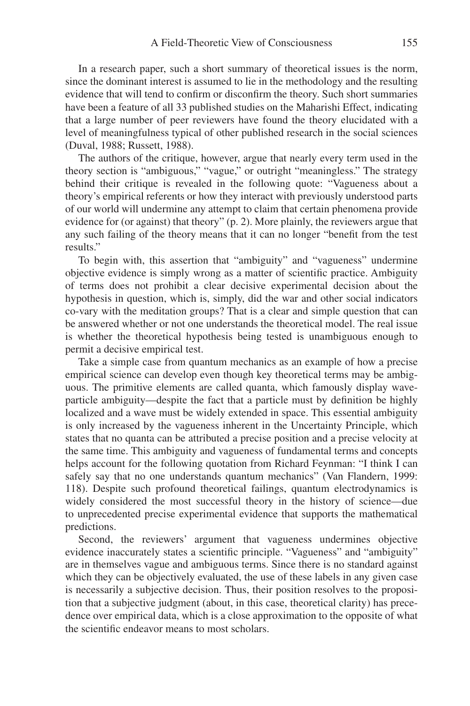In a research paper, such a short summary of theoretical issues is the norm, since the dominant interest is assumed to lie in the methodology and the resulting evidence that will tend to confirm or disconfirm the theory. Such short summaries have been a feature of all 33 published studies on the Maharishi Effect, indicating that a large number of peer reviewers have found the theory elucidated with a level of meaningfulness typical of other published research in the social sciences (Duval, 1988; Russett, 1988).

The authors of the critique, however, argue that nearly every term used in the theory section is "ambiguous," "vague," or outright "meaningless." The strategy behind their critique is revealed in the following quote: "Vagueness about a theory's empirical referents or how they interact with previously understood parts of our world will undermine any attempt to claim that certain phenomena provide evidence for (or against) that theory" (p. 2). More plainly, the reviewers argue that any such failing of the theory means that it can no longer "benefit from the test results."

To begin with, this assertion that "ambiguity" and "vagueness" undermine objective evidence is simply wrong as a matter of scientific practice. Ambiguity of terms does not prohibit a clear decisive experimental decision about the hypothesis in question, which is, simply, did the war and other social indicators co-vary with the meditation groups? That is a clear and simple question that can be answered whether or not one understands the theoretical model. The real issue is whether the theoretical hypothesis being tested is unambiguous enough to permit a decisive empirical test.

Take a simple case from quantum mechanics as an example of how a precise empirical science can develop even though key theoretical terms may be ambiguous. The primitive elements are called quanta, which famously display waveparticle ambiguity—despite the fact that a particle must by definition be highly localized and a wave must be widely extended in space. This essential ambiguity is only increased by the vagueness inherent in the Uncertainty Principle, which states that no quanta can be attributed a precise position and a precise velocity at the same time. This ambiguity and vagueness of fundamental terms and concepts helps account for the following quotation from Richard Feynman: "I think I can safely say that no one understands quantum mechanics" (Van Flandern, 1999: 118). Despite such profound theoretical failings, quantum electrodynamics is widely considered the most successful theory in the history of science—due to unprecedented precise experimental evidence that supports the mathematical predictions.

Second, the reviewers' argument that vagueness undermines objective evidence inaccurately states a scientific principle. "Vagueness" and "ambiguity" are in themselves vague and ambiguous terms. Since there is no standard against which they can be objectively evaluated, the use of these labels in any given case is necessarily a subjective decision. Thus, their position resolves to the proposition that a subjective judgment (about, in this case, theoretical clarity) has precedence over empirical data, which is a close approximation to the opposite of what the scientific endeavor means to most scholars.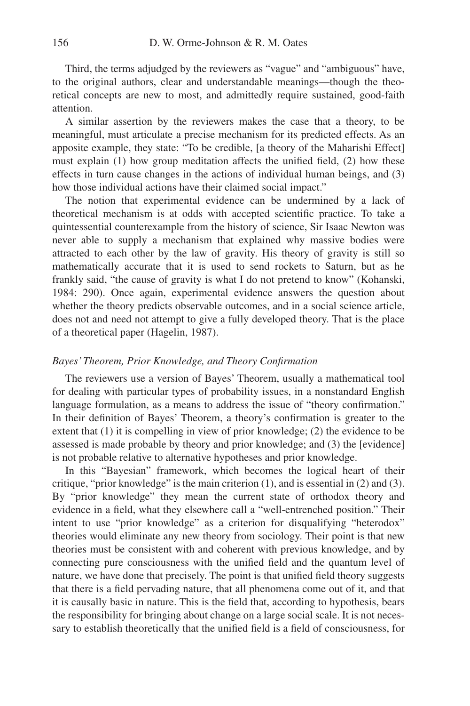Third, the terms adjudged by the reviewers as "vague" and "ambiguous" have, to the original authors, clear and understandable meanings—though the theoretical concepts are new to most, and admittedly require sustained, good-faith attention.

A similar assertion by the reviewers makes the case that a theory, to be meaningful, must articulate a precise mechanism for its predicted effects. As an apposite example, they state: "To be credible, [a theory of the Maharishi Effect] must explain  $(1)$  how group meditation affects the unified field,  $(2)$  how these effects in turn cause changes in the actions of individual human beings, and (3) how those individual actions have their claimed social impact."

The notion that experimental evidence can be undermined by a lack of theoretical mechanism is at odds with accepted scientific practice. To take a quin tessential counterexample from the history of science, Sir Isaac Newton was never able to supply a mechanism that explained why massive bodies were attracted to each other by the law of gravity. His theory of gravity is still so mathematically accurate that it is used to send rockets to Saturn, but as he frankly said, "the cause of gravity is what I do not pretend to know" (Kohanski, 1984: 290). Once again, experimental evidence answers the question about whether the theory predicts observable outcomes, and in a social science article, does not and need not attempt to give a fully developed theory. That is the place of a theoretical paper (Hagelin, 1987).

#### *Bayes' Theorem, Prior Knowledge, and Theory Confirmation*

The reviewers use a version of Bayes' Theorem, usually a mathematical tool for dealing with particular types of probability issues, in a nonstandard English language formulation, as a means to address the issue of "theory confirmation." In their definition of Bayes' Theorem, a theory's confirmation is greater to the extent that (1) it is compelling in view of prior knowledge; (2) the evidence to be assessed is made probable by theory and prior knowledge; and (3) the [evidence] is not probable relative to alternative hypotheses and prior knowledge.

In this "Bayesian" framework, which becomes the logical heart of their critique, "prior knowledge" is the main criterion (1), and is essential in (2) and (3). By "prior knowledge" they mean the current state of orthodox theory and evidence in a field, what they elsewhere call a "well-entrenched position." Their intent to use "prior knowledge" as a criterion for disqualifying "heterodox" theories would eliminate any new theory from sociology. Their point is that new theories must be consistent with and coherent with previous knowledge, and by connecting pure consciousness with the unified field and the quantum level of nature, we have done that precisely. The point is that unified field theory suggests that there is a field pervading nature, that all phenomena come out of it, and that it is causally basic in nature. This is the field that, according to hypothesis, bears the responsibility for bringing about change on a large social scale. It is not necessary to establish theoretically that the unified field is a field of consciousness, for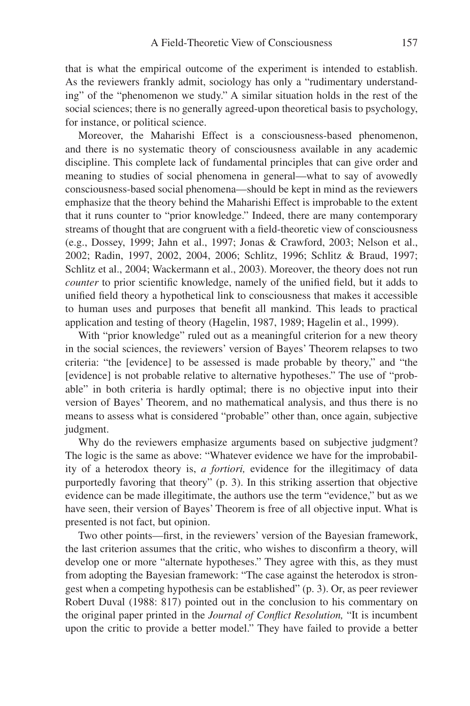that is what the empirical outcome of the experiment is intended to establish. As the reviewers frankly admit, sociology has only a "rudimentary understanding" of the "phenomenon we study." A similar situation holds in the rest of the social sciences; there is no generally agreed-upon theoretical basis to psychology, for instance, or political science.

Moreover, the Maharishi Effect is a consciousness-based phenomenon, and there is no systematic theory of consciousness available in any academic discipline. This complete lack of fundamental principles that can give order and meaning to studies of social phenomena in general—what to say of avowedly consciousness-based social phenomena—should be kept in mind as the reviewers emphasize that the theory behind the Maharishi Effect is improbable to the extent that it runs counter to "prior knowledge." Indeed, there are many contemporary streams of thought that are congruent with a field-theoretic view of consciousness (e.g., Dossey, 1999; Jahn et al., 1997; Jonas & Crawford, 2003; Nelson et al., 2002; Radin, 1997, 2002, 2004, 2006; Schlitz, 1996; Schlitz & Braud, 1997; Schlitz et al., 2004; Wackermann et al., 2003). Moreover, the theory does not run *counter* to prior scientific knowledge, namely of the unified field, but it adds to unified field theory a hypothetical link to consciousness that makes it accessible to human uses and purposes that benefit all mankind. This leads to practical application and testing of theory (Hagelin, 1987, 1989; Hagelin et al., 1999).

With "prior knowledge" ruled out as a meaningful criterion for a new theory in the social sciences, the reviewers' version of Bayes' Theorem relapses to two criteria: "the [evidence] to be assessed is made probable by theory," and "the [evidence] is not probable relative to alternative hypotheses." The use of "probable" in both criteria is hardly optimal; there is no objective input into their version of Bayes' Theorem, and no mathematical analysis, and thus there is no means to assess what is considered "probable" other than, once again, subjective judgment.

Why do the reviewers emphasize arguments based on subjective judgment? The logic is the same as above: "Whatever evidence we have for the improbability of a heterodox theory is, *a fortiori,* evidence for the illegitimacy of data purportedly favoring that theory" (p. 3). In this striking assertion that objective evidence can be made illegitimate, the authors use the term "evidence," but as we have seen, their version of Bayes' Theorem is free of all objective input. What is presented is not fact, but opinion.

Two other points—first, in the reviewers' version of the Bayesian framework, the last criterion assumes that the critic, who wishes to disconfirm a theory, will develop one or more "alternate hypotheses." They agree with this, as they must from adopting the Bayesian framework: "The case against the heterodox is strongest when a competing hypothesis can be established" (p. 3). Or, as peer reviewer Robert Duval (1988: 817) pointed out in the conclusion to his commentary on the original paper printed in the *Journal of Conflict Resolution*, "It is incumbent upon the critic to provide a better model." They have failed to provide a better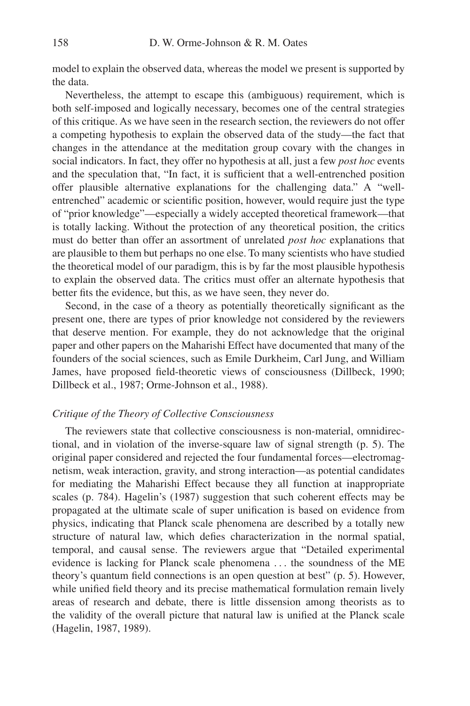model to explain the observed data, whereas the model we present is supported by the data.

Nevertheless, the attempt to escape this (ambiguous) requirement, which is both self-imposed and logically necessary, becomes one of the central strategies of this critique. As we have seen in the research section, the reviewers do not offer a competing hypothesis to explain the observed data of the study—the fact that changes in the attendance at the meditation group covary with the changes in social indicators. In fact, they offer no hypothesis at all, just a few *post hoc* events and the speculation that, "In fact, it is sufficient that a well-entrenched position offer plausible alternative explanations for the challenging data." A "wellentrenched" academic or scientific position, however, would require just the type of "prior knowledge"—especially a widely accepted theoretical framework—that is totally lacking. Without the protection of any theoretical position, the critics must do better than offer an assortment of unrelated *post hoc* explanations that are plausible to them but perhaps no one else. To many scientists who have studied the theoretical model of our paradigm, this is by far the most plausible hypothesis to explain the observed data. The critics must offer an alternate hypothesis that better fits the evidence, but this, as we have seen, they never do.

Second, in the case of a theory as potentially theoretically significant as the present one, there are types of prior knowledge not considered by the reviewers that deserve mention. For example, they do not acknowledge that the original paper and other papers on the Maharishi Effect have documented that many of the founders of the social sciences, such as Emile Durkheim, Carl Jung, and William James, have proposed field-theoretic views of consciousness (Dillbeck, 1990; Dillbeck et al., 1987; Orme-Johnson et al., 1988).

## *Critique of the Theory of Collective Consciousness*

The reviewers state that collective consciousness is non-material, omnidirectional, and in violation of the inverse-square law of signal strength (p. 5). The original paper considered and rejected the four fundamental forces—electromagnetism, weak interaction, gravity, and strong interaction—as potential candidates for mediating the Maharishi Effect because they all function at inappropriate scales (p. 784). Hagelin's (1987) suggestion that such coherent effects may be propagated at the ultimate scale of super unification is based on evidence from physics, indicating that Planck scale phenomena are described by a totally new structure of natural law, which defies characterization in the normal spatial, temporal, and causal sense. The reviewers argue that "Detailed experimental evidence is lacking for Planck scale phenomena . . . the soundness of the ME theory's quantum field connections is an open question at best"  $(p, 5)$ . However, while unified field theory and its precise mathematical formulation remain lively areas of research and debate, there is little dissension among theorists as to the validity of the overall picture that natural law is unified at the Planck scale (Hagelin, 1987, 1989).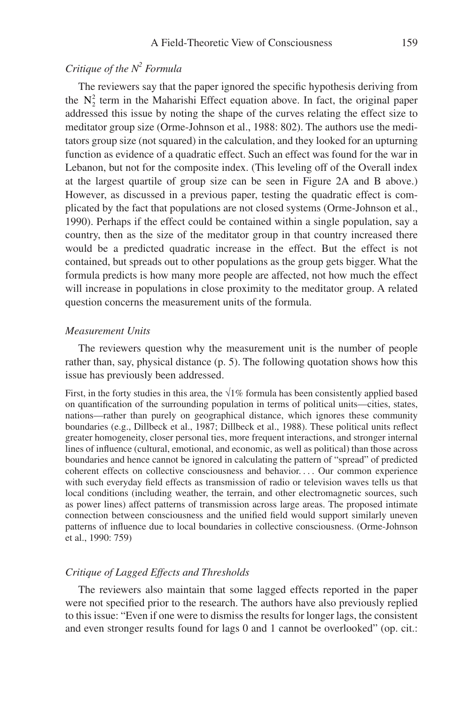# *Critique of the N2 Formula*

The reviewers say that the paper ignored the specific hypothesis deriving from the  $N_2^2$  term in the Maharishi Effect equation above. In fact, the original paper addressed this issue by noting the shape of the curves relating the effect size to meditator group size (Orme-Johnson et al., 1988: 802). The authors use the meditators group size (not squared) in the calculation, and they looked for an upturning function as evidence of a quadratic effect. Such an effect was found for the war in Lebanon, but not for the composite index. (This leveling off of the Overall index at the largest quartile of group size can be seen in Figure 2A and B above.) However, as discussed in a previous paper, testing the quadratic effect is complicated by the fact that populations are not closed systems (Orme-Johnson et al., 1990). Perhaps if the effect could be contained within a single population, say a country, then as the size of the meditator group in that country increased there would be a predicted quadratic increase in the effect. But the effect is not contained, but spreads out to other populations as the group gets bigger. What the formula predicts is how many more people are affected, not how much the effect will increase in populations in close proximity to the meditator group. A related question concerns the measurement units of the formula.

## *Measurement Units*

The reviewers question why the measurement unit is the number of people rather than, say, physical distance (p. 5). The following quotation shows how this issue has previously been addressed.

First, in the forty studies in this area, the  $\sqrt{1\%}$  formula has been consistently applied based on quantification of the surrounding population in terms of political units—cities, states, nations—rather than purely on geographical distance, which ignores these community boundaries (e.g., Dillbeck et al., 1987; Dillbeck et al., 1988). These political units reflect greater homogeneity, closer personal ties, more frequent interactions, and stronger internal lines of influence (cultural, emotional, and economic, as well as political) than those across boundaries and hence cannot be ignored in calculating the pattern of "spread" of predicted coherent effects on collective consciousness and behavior. . . . Our common experience with such everyday field effects as transmission of radio or television waves tells us that local conditions (including weather, the terrain, and other electromagnetic sources, such as power lines) affect patterns of transmission across large areas. The proposed intimate connection between consciousness and the unified field would support similarly uneven patterns of influence due to local boundaries in collective consciousness. (Orme-Johnson et al., 1990: 759)

## *Critique of Lagged Effects and Thresholds*

The reviewers also maintain that some lagged effects reported in the paper were not specified prior to the research. The authors have also previously replied to this issue: "Even if one were to dismiss the results for longer lags, the consistent and even stronger results found for lags 0 and 1 cannot be overlooked" (op. cit.: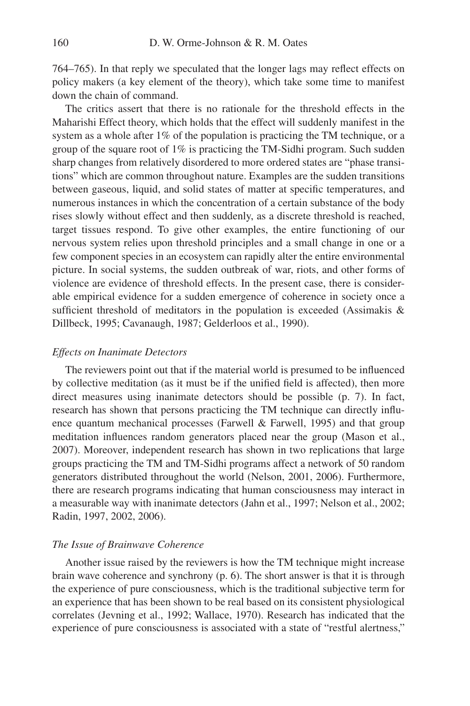764–765). In that reply we speculated that the longer lags may reflect effects on policy makers (a key element of the theory), which take some time to manifest down the chain of command.

The critics assert that there is no rationale for the threshold effects in the Maharishi Effect theory, which holds that the effect will suddenly manifest in the system as a whole after 1% of the population is practicing the TM technique, or a group of the square root of 1% is practicing the TM-Sidhi program. Such sudden sharp changes from relatively disordered to more ordered states are "phase transitions" which are common throughout nature. Examples are the sudden transitions between gaseous, liquid, and solid states of matter at specific temperatures, and numerous instances in which the concentration of a certain substance of the body rises slowly without effect and then suddenly, as a discrete threshold is reached, target tissues respond. To give other examples, the entire functioning of our nervous system relies upon threshold principles and a small change in one or a few component species in an ecosystem can rapidly alter the entire environmental picture. In social systems, the sudden outbreak of war, riots, and other forms of violence are evidence of threshold effects. In the present case, there is considerable empirical evidence for a sudden emergence of coherence in society once a sufficient threshold of meditators in the population is exceeded (Assimakis  $\&$ Dillbeck, 1995; Cavanaugh, 1987; Gelderloos et al., 1990).

#### *Effects on Inanimate Detectors*

The reviewers point out that if the material world is presumed to be influenced by collective meditation (as it must be if the unified field is affected), then more direct measures using inanimate detectors should be possible (p. 7). In fact, research has shown that persons practicing the TM technique can directly influence quantum mechanical processes (Farwell & Farwell, 1995) and that group meditation influences random generators placed near the group (Mason et al., 2007). Moreover, independent research has shown in two replications that large groups practicing the TM and TM-Sidhi programs affect a network of 50 random generators distributed throughout the world (Nelson, 2001, 2006). Furthermore, there are research programs indicating that human consciousness may interact in a measurable way with inanimate detectors (Jahn et al., 1997; Nelson et al., 2002; Radin, 1997, 2002, 2006).

#### *The Issue of Brainwave Coherence*

Another issue raised by the reviewers is how the TM technique might increase brain wave coherence and synchrony (p. 6). The short answer is that it is through the experience of pure consciousness, which is the traditional subjective term for an experience that has been shown to be real based on its consistent physiological correlates (Jevning et al., 1992; Wallace, 1970). Research has indicated that the experience of pure consciousness is associated with a state of "restful alertness,"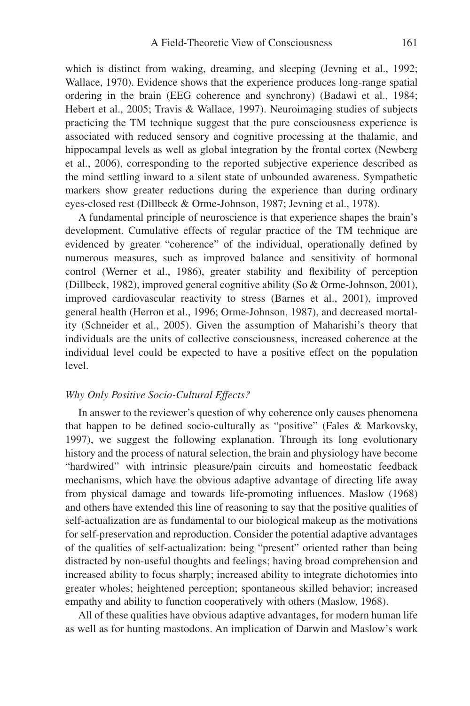which is distinct from waking, dreaming, and sleeping (Jevning et al., 1992; Wallace, 1970). Evidence shows that the experience produces long-range spatial ordering in the brain (EEG coherence and synchrony) (Badawi et al., 1984; Hebert et al., 2005; Travis & Wallace, 1997). Neuroimaging studies of subjects practicing the TM technique suggest that the pure consciousness experience is associated with reduced sensory and cognitive processing at the thalamic, and hippocampal levels as well as global integration by the frontal cortex (Newberg et al., 2006), corresponding to the reported subjective experience described as the mind settling inward to a silent state of unbounded awareness. Sympathetic markers show greater reductions during the experience than during ordinary eyes-closed rest (Dillbeck & Orme-Johnson, 1987; Jevning et al., 1978).

A fundamental principle of neuroscience is that experience shapes the brain's development. Cumulative effects of regular practice of the TM technique are evidenced by greater "coherence" of the individual, operationally defined by numerous measures, such as improved balance and sensitivity of hormonal control (Werner et al., 1986), greater stability and flexibility of perception (Dillbeck, 1982), improved general cognitive ability (So & Orme-Johnson, 2001), improved cardiovascular reactivity to stress (Barnes et al., 2001), improved general health (Herron et al., 1996; Orme-Johnson, 1987), and decreased mortality (Schneider et al., 2005). Given the assumption of Maharishi's theory that individuals are the units of collective consciousness, increased coherence at the individual level could be expected to have a positive effect on the population level.

#### *Why Only Positive Socio-Cultural Effects?*

In answer to the reviewer's question of why coherence only causes phenomena that happen to be defined socio-culturally as "positive" (Fales & Markovsky, 1997), we suggest the following explanation. Through its long evolutionary history and the process of natural selection, the brain and physiology have become "hardwired" with intrinsic pleasure/pain circuits and homeostatic feedback mechanisms, which have the obvious adaptive advantage of directing life away from physical damage and towards life-promoting influences. Maslow (1968) and others have extended this line of reasoning to say that the positive qualities of self-actualization are as fundamental to our biological makeup as the motivations for self-preservation and reproduction. Consider the potential adaptive advantages of the qualities of self-actualization: being "present" oriented rather than being distracted by non-useful thoughts and feelings; having broad comprehension and increased ability to focus sharply; increased ability to integrate dichotomies into greater wholes; heightened perception; spontaneous skilled behavior; increased empathy and ability to function cooperatively with others (Maslow, 1968).

All of these qualities have obvious adaptive advantages, for modern human life as well as for hunting mastodons. An implication of Darwin and Maslow's work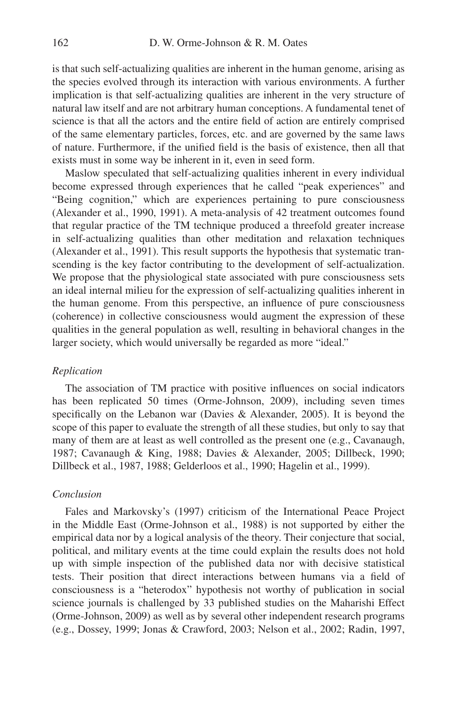is that such self-actualizing qualities are inherent in the human genome, arising as the species evolved through its interaction with various environments. A further implication is that self-actualizing qualities are inherent in the very structure of natural law itself and are not arbitrary human conceptions. A fundamental tenet of science is that all the actors and the entire field of action are entirely comprised of the same elementary particles, forces, etc. and are governed by the same laws of nature. Furthermore, if the unified field is the basis of existence, then all that exists must in some way be inherent in it, even in seed form.

Maslow speculated that self-actualizing qualities inherent in every individual become expressed through experiences that he called "peak experiences" and "Being cognition," which are experiences pertaining to pure consciousness (Alexander et al., 1990, 1991). A meta-analysis of 42 treatment outcomes found that regular practice of the TM technique produced a threefold greater increase in self-actualizing qualities than other meditation and relaxation techniques (Alexander et al., 1991). This result supports the hypothesis that systematic transcending is the key factor contributing to the development of self-actualization. We propose that the physiological state associated with pure consciousness sets an ideal internal milieu for the expression of self-actualizing qualities inherent in the human genome. From this perspective, an influence of pure consciousness (coherence) in collective consciousness would augment the expression of these qualities in the general population as well, resulting in behavioral changes in the larger society, which would universally be regarded as more "ideal."

#### *Replication*

The association of TM practice with positive influences on social indicators has been replicated 50 times (Orme-Johnson, 2009), including seven times specifically on the Lebanon war (Davies & Alexander, 2005). It is beyond the scope of this paper to evaluate the strength of all these studies, but only to say that many of them are at least as well controlled as the present one (e.g., Cavanaugh, 1987; Cavanaugh & King, 1988; Davies & Alexander, 2005; Dillbeck, 1990; Dillbeck et al., 1987, 1988; Gelderloos et al., 1990; Hagelin et al., 1999).

## *Conclusion*

Fales and Markovsky's (1997) criticism of the International Peace Project in the Middle East (Orme-Johnson et al., 1988) is not supported by either the empirical data nor by a logical analysis of the theory. Their conjecture that social, political, and military events at the time could explain the results does not hold up with simple inspection of the published data nor with decisive statistical tests. Their position that direct interactions between humans via a field of consciousness is a "heterodox" hypothesis not worthy of publication in social science journals is challenged by 33 published studies on the Maharishi Effect (Orme-Johnson, 2009) as well as by several other independent research programs (e.g., Dossey, 1999; Jonas & Crawford, 2003; Nelson et al., 2002; Radin, 1997,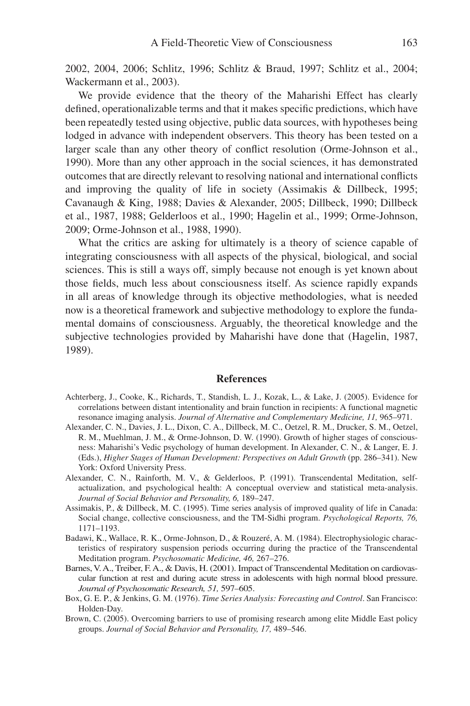2002, 2004, 2006; Schlitz, 1996; Schlitz & Braud, 1997; Schlitz et al., 2004; Wackermann et al., 2003).

We provide evidence that the theory of the Maharishi Effect has clearly defined, operationalizable terms and that it makes specific predictions, which have been repeatedly tested using objective, public data sources, with hypotheses being lodged in advance with independent observers. This theory has been tested on a larger scale than any other theory of conflict resolution (Orme-Johnson et al., 1990). More than any other approach in the social sciences, it has demonstrated outcomes that are directly relevant to resolving national and international conflicts and improving the quality of life in society (Assimakis & Dillbeck, 1995; Cavanaugh & King, 1988; Davies & Alexander, 2005; Dillbeck, 1990; Dillbeck et al., 1987, 1988; Gelderloos et al., 1990; Hagelin et al., 1999; Orme-Johnson, 2009; Orme-Johnson et al., 1988, 1990).

What the critics are asking for ultimately is a theory of science capable of integrating consciousness with all aspects of the physical, biological, and social sciences. This is still a ways off, simply because not enough is yet known about those fields, much less about consciousness itself. As science rapidly expands in all areas of knowledge through its objective methodologies, what is needed now is a theoretical framework and subjective methodology to explore the fundamental domains of consciousness. Arguably, the theoretical knowledge and the subjective technologies provided by Maharishi have done that (Hagelin, 1987, 1989).

#### **References**

- Achterberg, J., Cooke, K., Richards, T., Standish, L. J., Kozak, L., & Lake, J. (2005). Evidence for correlations between distant intentionality and brain function in recipients: A functional magnetic resonance imaging analysis. *Journal of Alternative and Complementary Medicine, 11,* 965–971.
- Alexander, C. N., Davies, J. L., Dixon, C. A., Dillbeck, M. C., Oetzel, R. M., Drucker, S. M., Oetzel, R. M., Muehlman, J. M., & Orme-Johnson, D. W. (1990). Growth of higher stages of consciousness: Maharishi's Vedic psychology of human development. In Alexander, C. N., & Langer, E. J. (Eds.), *Higher Stages of Human Development: Perspectives on Adult Growth* (pp. 286–341). New York: Oxford University Press.
- Alexander, C. N., Rainforth, M. V., & Gelderloos, P. (1991). Transcendental Meditation, selfactualization, and psychological health: A conceptual overview and statistical meta-analysis. *Journal of Social Behavior and Personality, 6,* 189–247.
- Assimakis, P., & Dillbeck, M. C. (1995). Time series analysis of improved quality of life in Canada: Social change, collective consciousness, and the TM-Sidhi program. *Psychological Reports, 76,* 1171–1193.
- Badawi, K., Wallace, R. K., Orme-Johnson, D., & Rouzeré, A. M. (1984). Electrophysiologic characteristics of respiratory suspension periods occurring during the practice of the Transcendental Meditation program. *Psychosomatic Medicine, 46,* 267–276.
- Barnes, V. A., Treiber, F. A., & Davis, H. (2001). Impact of Transcendental Meditation on cardiovascular function at rest and during acute stress in adolescents with high normal blood pressure. *Journal of Psychosomatic Research, 51,* 597–605.
- Box, G. E. P., & Jenkins, G. M. (1976). *Time Series Analysis: Forecasting and Control*. San Francisco: Holden-Day.
- Brown, C. (2005). Overcoming barriers to use of promising research among elite Middle East policy groups. *Journal of Social Behavior and Personality, 17,* 489–546.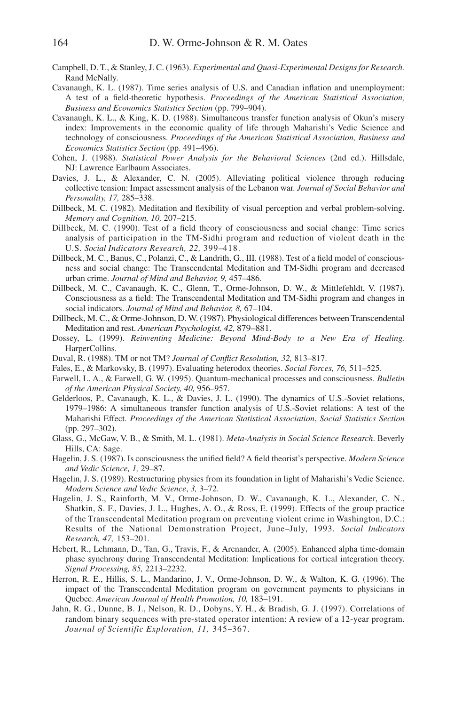- Campbell, D. T., & Stanley, J. C. (1963). *Experimental and Quasi-Experimental Designs for Research.* Rand McNally.
- Cavanaugh, K. L. (1987). Time series analysis of U.S. and Canadian inflation and unemployment: A test of a field-theoretic hypothesis. *Proceedings of the American Statistical Association*, *Business and Economics Statistics Section* (pp. 799–904).
- Cavanaugh, K. L., & King, K. D. (1988). Simultaneous transfer function analysis of Okun's misery index: Improvements in the economic quality of life through Maharishi's Vedic Science and technology of consciousness. *Proceedings of the American Statistical Association, Business and Economics Statistics Section* (pp. 491–496).
- Cohen, J. (1988). *Statistical Power Analysis for the Behavioral Sciences* (2nd ed.). Hillsdale, NJ: Lawrence Earlbaum Associates.
- Davies, J. L., & Alexander, C. N. (2005). Alleviating political violence through reducing collective tension: Impact assessment analysis of the Lebanon war. *Journal of Social Behavior and Personality, 17,* 285–338.
- Dillbeck, M. C. (1982). Meditation and flexibility of visual perception and verbal problem-solving. *Memory and Cognition, 10,* 207–215.
- Dillbeck, M. C. (1990). Test of a field theory of consciousness and social change: Time series analysis of participation in the TM-Sidhi program and reduction of violent death in the U.S. *Social Indicators Research, 22,* 399–418.
- Dillbeck, M. C., Banus, C., Polanzi, C., & Landrith, G., III. (1988). Test of a field model of consciousness and social change: The Transcendental Meditation and TM-Sidhi program and decreased urban crime. *Journal of Mind and Behavior, 9,* 457–486.
- Dillbeck, M. C., Cavanaugh, K. C., Glenn, T., Orme-Johnson, D. W., & Mittlefehldt, V. (1987). Consciousness as a field: The Transcendental Meditation and TM-Sidhi program and changes in social indicators. *Journal of Mind and Behavior, 8,* 67–104.
- Dillbeck, M. C., & Orme-Johnson, D. W. (1987). Physiological differences be tween Transcendental Meditation and rest. *American Psychologist, 42,* 879–881.
- Dossey, L. (1999). *Reinventing Medicine: Beyond Mind-Body to a New Era of Healing.* HarperCollins.
- Duval, R. (1988). TM or not TM? *Journal of Conflict Resolution*, 32, 813-817.
- Fales, E., & Markovsky, B. (1997). Evaluating heterodox theories. *Social Forces, 76,* 511–525.
- Farwell, L. A., & Farwell, G. W. (1995). Quantum-mechanical processes and consciousness. *Bulletin of the American Physical Society, 40,* 956–957.
- Gelderloos, P., Cavanaugh, K. L., & Davies, J. L. (1990). The dynamics of U.S.-Soviet relations, 1979–1986: A simultaneous transfer function analysis of U.S.-Soviet relations: A test of the Maharishi Effect. *Proceedings of the American Statistical Association*, *Social Statistics Section* (pp. 297–302).
- Glass, G., McGaw, V. B., & Smith, M. L. (1981). *Meta-Analysis in Social Science Research*. Beverly Hills, CA: Sage.
- Hagelin, J. S. (1987). Is consciousness the unified field? A field theorist's perspective. *Modern Science and Vedic Science, 1,* 29–87.
- Hagelin, J. S. (1989). Restructuring physics from its foundation in light of Maharishi's Vedic Science. *Modern Science and Vedic Science*, *3,* 3–72.
- Hagelin, J. S., Rainforth, M. V., Orme-Johnson, D. W., Cavanaugh, K. L., Alexander, C. N., Shatkin, S. F., Davies, J. L., Hughes, A. O., & Ross, E. (1999). Effects of the group practice of the Transcendental Meditation program on preventing violent crime in Washington, D.C.: Results of the National Demonstration Project, June–July, 1993. *Social Indicators Research, 47,* 153–201.
- Hebert, R., Lehmann, D., Tan, G., Travis, F., & Arenander, A. (2005). Enhanced alpha time-domain phase synchrony during Transcendental Meditation: Implications for cortical integration theory. *Signal Processing, 85,* 2213–2232.
- Herron, R. E., Hillis, S. L., Mandarino, J. V., Orme-Johnson, D. W., & Walton, K. G. (1996). The impact of the Transcendental Meditation program on government payments to physicians in Quebec. *American Journal of Health Promotion, 10,* 183–191.
- Jahn, R. G., Dunne, B. J., Nelson, R. D., Dobyns, Y. H., & Bradish, G. J. (1997). Correlations of random binary sequences with pre-stated operator intention: A review of a 12-year program. *Journal of Scientific Exploration, 11,* 345–367.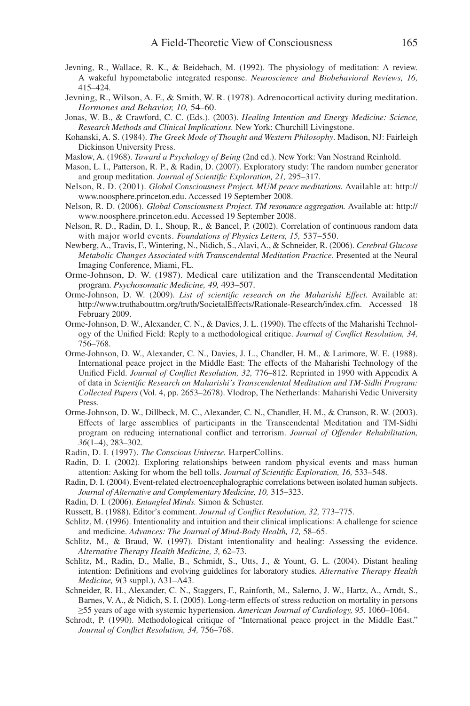- Jevning, R., Wallace, R. K., & Beidebach, M. (1992). The physiology of meditation: A review. A wakeful hypometabolic integrated response. *Neuroscience and Biobehavioral Reviews, 16,* 415–424.
- Jevning, R., Wilson, A. F., & Smith, W. R. (1978). Adrenocortical activity during meditation. *Hormones and Behavior, 10,* 54–60.
- Jonas, W. B., & Crawford, C. C. (Eds.). (2003). *Healing Intention and Energy Medicine: Science, Research Methods and Clinical Implica tions.* New York: Churchill Livingstone.
- Kohanski, A. S. (1984). *The Greek Mode of Thought and Western Philosophy*. Madison, NJ: Fairleigh Dickinson University Press.
- Maslow, A. (1968). *Toward a Psychology of Being* (2nd ed.). New York: Van Nostrand Reinhold.
- Mason, L. I., Patterson, R. P., & Radin, D. (2007). Exploratory study: The random number generator and group meditation. *Journal of Scientific Exploration*, 21, 295-317.
- Nelson, R. D. (2001). *Global Consciousness Project. MUM peace meditations.* Available at: http:// www.noosphere.princeton.edu. Accessed 19 September 2008.
- Nelson, R. D. (2006). *Global Consciousness Project. TM resonance aggregation.* Available at: http:// www.noosphere.princeton.edu. Accessed 19 September 2008.
- Nelson, R. D., Radin, D. I., Shoup, R., & Bancel, P. (2002). Correlation of continuous random data with major world events. *Foundations of Physics Letters, 15,* 537–550.
- Newberg, A., Travis, F., Wintering, N., Nidich, S., Alavi, A., & Schneider, R. (2006). *Cerebral Glucose Metabolic Changes Associated with Transcendental Meditation Practice.* Presented at the Neural Imaging Conference, Miami, FL.
- Orme-Johnson, D. W. (1987). Medical care utilization and the Transcendental Meditation program. *Psychosomatic Medicine, 49,* 493–507.
- Orme-Johnson, D. W. (2009). *List of scientific research on the Maharishi Effect*. Available at: http://www.truthabouttm.org/truth/SocietalEffects/Rationale-Research/index.cfm. Accessed 18 February 2009.
- Orme-Johnson, D. W., Alexander, C. N., & Davies, J. L. (1990). The effects of the Maharishi Technology of the Unified Field: Reply to a methodological critique. *Journal of Conflict Resolution*, 34, 756–768.
- Orme-Johnson, D. W., Alexander, C. N., Davies, J. L., Chandler, H. M., & Larimore, W. E. (1988). International peace project in the Middle East: The effects of the Maharishi Technology of the Unified Field. *Journal of Conflict Resolution, 32, 776*-812. Reprinted in 1990 with Appendix A of data in *Scientific Research on Maharishi's Transcendental Meditation and TM-Sidhi Program: Collected Papers* (Vol. 4, pp. 2653–2678). Vlodrop, The Netherlands: Maharishi Vedic University Press.
- Orme-Johnson, D. W., Dillbeck, M. C., Alexander, C. N., Chandler, H. M., & Cranson, R. W. (2003). Effects of large assemblies of participants in the Transcendental Meditation and TM-Sidhi program on reducing international conflict and terrorism. *Journal of Offender Rehabilitation*, *36*(1–4), 283–302.
- Radin, D. I. (1997). *The Conscious Universe.* HarperCollins.
- Radin, D. I. (2002). Exploring relationships between random physical events and mass human attention: Asking for whom the bell tolls. *Journal of Scientific Exploration*, 16, 533-548.
- Radin, D. I. (2004). Event-related electroencephalographic correlations between isolated human subjects. *Journal of Alternative and Complementary Medicine, 10,* 315–323.
- Radin, D. I. (2006). *Entangled Minds.* Simon & Schuster.
- Russett, B. (1988). Editor's comment. *Journal of Conflict Resolution*, 32, 773-775.
- Schlitz, M. (1996). Intentionality and intuition and their clinical implications: A challenge for science and medicine. *Advances: The Journal of Mind-Body Health, 12,* 58–65.
- Schlitz, M., & Braud, W. (1997). Distant intentionality and healing: Assessing the evidence. *Alternative Therapy Health Medicine, 3,* 62–73.
- Schlitz, M., Radin, D., Malle, B., Schmidt, S., Utts, J., & Yount, G. L. (2004). Distant healing intention: Definitions and evolving guidelines for laboratory studies. *Alternative Therapy Health Medicine, 9*(3 suppl.), A31–A43.
- Schneider, R. H., Alexander, C. N., Staggers, F., Rainforth, M., Salerno, J. W., Hartz, A., Arndt, S., Barnes, V. A., & Nidich, S. I. (2005). Long-term effects of stress reduction on mortality in persons ≥55 years of age with systemic hypertension. *American Journal of Cardiology, 95,* 1060–1064.
- Schrodt, P. (1990). Methodological critique of "International peace project in the Middle East." *Journal of Confl ict Resolution, 34,* 756–768.